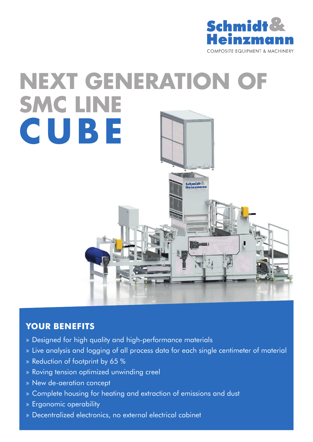

# **NEXT GENERATION OF SMC LINE CUBE**Schmidt<br>Heinzmann

# **YOUR BENEFITS**

- » Designed for high quality and high-performance materials
- » Live analysis and logging of all process data for each single centimeter of material
- » Reduction of footprint by 65 %
- » Roving tension optimized unwinding creel
- » New de-aeration concept
- » Complete housing for heating and extraction of emissions and dust
- » Ergonomic operability
- » Decentralized electronics, no external electrical cabinet